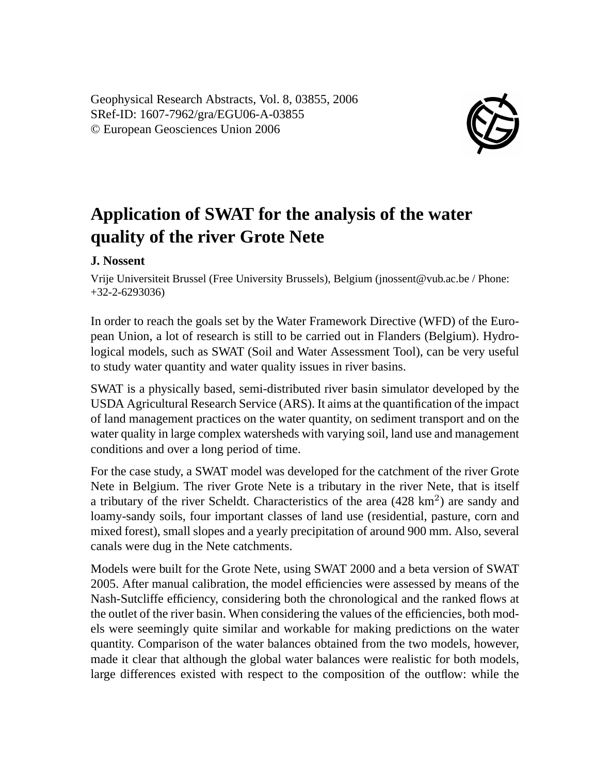Geophysical Research Abstracts, Vol. 8, 03855, 2006 SRef-ID: 1607-7962/gra/EGU06-A-03855 © European Geosciences Union 2006



## **Application of SWAT for the analysis of the water quality of the river Grote Nete**

## **J. Nossent**

Vrije Universiteit Brussel (Free University Brussels), Belgium (jnossent@vub.ac.be / Phone: +32-2-6293036)

In order to reach the goals set by the Water Framework Directive (WFD) of the European Union, a lot of research is still to be carried out in Flanders (Belgium). Hydrological models, such as SWAT (Soil and Water Assessment Tool), can be very useful to study water quantity and water quality issues in river basins.

SWAT is a physically based, semi-distributed river basin simulator developed by the USDA Agricultural Research Service (ARS). It aims at the quantification of the impact of land management practices on the water quantity, on sediment transport and on the water quality in large complex watersheds with varying soil, land use and management conditions and over a long period of time.

For the case study, a SWAT model was developed for the catchment of the river Grote Nete in Belgium. The river Grote Nete is a tributary in the river Nete, that is itself a tributary of the river Scheldt. Characteristics of the area (428 km<sup>2</sup>) are sandy and loamy-sandy soils, four important classes of land use (residential, pasture, corn and mixed forest), small slopes and a yearly precipitation of around 900 mm. Also, several canals were dug in the Nete catchments.

Models were built for the Grote Nete, using SWAT 2000 and a beta version of SWAT 2005. After manual calibration, the model efficiencies were assessed by means of the Nash-Sutcliffe efficiency, considering both the chronological and the ranked flows at the outlet of the river basin. When considering the values of the efficiencies, both models were seemingly quite similar and workable for making predictions on the water quantity. Comparison of the water balances obtained from the two models, however, made it clear that although the global water balances were realistic for both models, large differences existed with respect to the composition of the outflow: while the